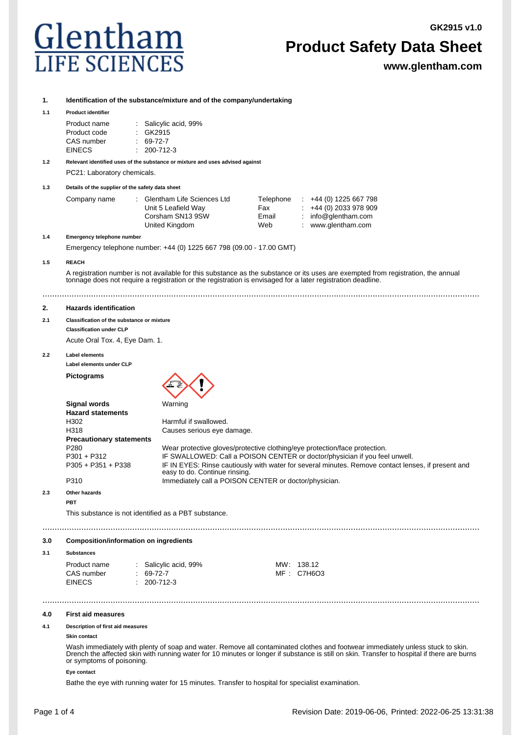**GK2915 v1.0**



## **Product Safety Data Sheet**

**www.glentham.com**

#### **1. Identification of the substance/mixture and of the company/undertaking**

#### **1.1 Product identifier**

| Product name  | : Salicylic acid, 99% |
|---------------|-----------------------|
| Product code  | : GK2915              |
| CAS number    | $: 69-72-7$           |
| <b>EINECS</b> | $: 200 - 712 - 3$     |

**1.2 Relevant identified uses of the substance or mixture and uses advised against** PC21: Laboratory chemicals.

**1.3 Details of the supplier of the safety data sheet**

| Company name | : Glentham Life Sciences Ltd | Telephone | $\div$ +44 (0) 1225 667 798 |
|--------------|------------------------------|-----------|-----------------------------|
|              | Unit 5 Leafield Way          | Fax       | $\div$ +44 (0) 2033 978 909 |
|              | Corsham SN13 9SW             | Email     | : $info@$ glentham.com      |
|              | United Kingdom               | Web       | www.glentham.com            |

#### **1.4 Emergency telephone number**

Emergency telephone number: +44 (0) 1225 667 798 (09.00 - 17.00 GMT)

#### **1.5 REACH**

A registration number is not available for this substance as the substance or its uses are exempted from registration, the annual tonnage does not require a registration or the registration is envisaged for a later registration deadline.

....................................................................................................................................................................................

#### **2. Hazards identification**

#### **2.1 Classification of the substance or mixture Classification under CLP**

Acute Oral Tox. 4, Eye Dam. 1.

#### **2.2 Label elements**

**Label elements under CLP**

#### **Pictograms**



|                                 | .                                                                                                                                   |
|---------------------------------|-------------------------------------------------------------------------------------------------------------------------------------|
| <b>Hazard statements</b>        |                                                                                                                                     |
| H302                            | Harmful if swallowed.                                                                                                               |
| H318                            | Causes serious eye damage.                                                                                                          |
| <b>Precautionary statements</b> |                                                                                                                                     |
| P <sub>280</sub>                | Wear protective gloves/protective clothing/eye protection/face protection.                                                          |
| $P301 + P312$                   | IF SWALLOWED: Call a POISON CENTER or doctor/physician if you feel unwell.                                                          |
| $P305 + P351 + P338$            | IF IN EYES: Rinse cautiously with water for several minutes. Remove contact lenses, if present and<br>easy to do. Continue rinsing. |
| P310                            | Immediately call a POISON CENTER or doctor/physician.                                                                               |

....................................................................................................................................................................................

#### **2.3 Other hazards**

**PBT**

This substance is not identified as a PBT substance.

#### **3.0 Composition/information on ingredients**

#### **3.1 Substances**

| Product name |  | $\therefore$ Salicylic acid, 99% | MW: 138.12 |
|--------------|--|----------------------------------|------------|
| CAS number   |  | $: 69-72-7$                      | MF: C7H6O3 |
| EINECS       |  | $: 200 - 712 - 3$                |            |

#### **4.0 First aid measures**

#### **4.1 Description of first aid measures**

### **Skin contact**

Wash immediately with plenty of soap and water. Remove all contaminated clothes and footwear immediately unless stuck to skin. Drench the affected skin with running water for 10 minutes or longer if substance is still on skin. Transfer to hospital if there are burns or symptoms of poisoning.

....................................................................................................................................................................................

#### **Eye contact**

Bathe the eye with running water for 15 minutes. Transfer to hospital for specialist examination.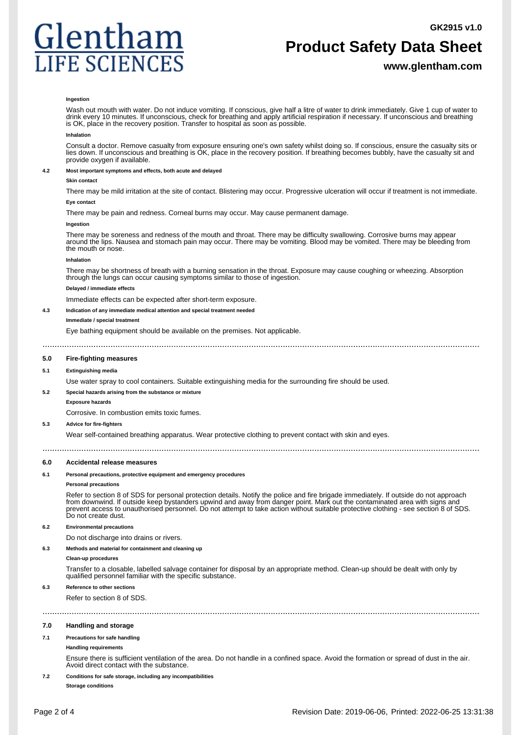

## **Product Safety Data Sheet**

#### **www.glentham.com**

#### **Ingestion**

Wash out mouth with water. Do not induce vomiting. If conscious, give half a litre of water to drink immediately. Give 1 cup of water to drink every 10 minutes. If unconscious, check for breathing and apply artificial respiration if necessary. If unconscious and breathing is OK, place in the recovery position. Transfer to hospital as soon as possible.

#### **Inhalation**

Consult a doctor. Remove casualty from exposure ensuring one's own safety whilst doing so. If conscious, ensure the casualty sits or lies down. If unconscious and breathing is OK, place in the recovery position. If breathing becomes bubbly, have the casualty sit and provide oxygen if available.

#### **4.2 Most important symptoms and effects, both acute and delayed**

#### **Skin contact**

There may be mild irritation at the site of contact. Blistering may occur. Progressive ulceration will occur if treatment is not immediate. **Eye contact**

There may be pain and redness. Corneal burns may occur. May cause permanent damage.

#### **Ingestion**

There may be soreness and redness of the mouth and throat. There may be difficulty swallowing. Corrosive burns may appear around the lips. Nausea and stomach pain may occur. There may be vomiting. Blood may be vomited. There may be bleeding from the mouth or nose.

#### **Inhalation**

There may be shortness of breath with a burning sensation in the throat. Exposure may cause coughing or wheezing. Absorption through the lungs can occur causing symptoms similar to those of ingestion.

#### **Delayed / immediate effects**

Immediate effects can be expected after short-term exposure.

#### **4.3 Indication of any immediate medical attention and special treatment needed**

#### **Immediate / special treatment**

Eye bathing equipment should be available on the premises. Not applicable.

....................................................................................................................................................................................

#### ....................................................................................................................................................................................

#### **5.0 Fire-fighting measures**

#### **5.1 Extinguishing media**

Use water spray to cool containers. Suitable extinguishing media for the surrounding fire should be used.

#### **5.2 Special hazards arising from the substance or mixture**

**Exposure hazards**

Corrosive. In combustion emits toxic fumes.

#### **5.3 Advice for fire-fighters**

Wear self-contained breathing apparatus. Wear protective clothing to prevent contact with skin and eyes.

#### **6.0 Accidental release measures**

#### **6.1 Personal precautions, protective equipment and emergency procedures**

#### **Personal precautions**

Refer to section 8 of SDS for personal protection details. Notify the police and fire brigade immediately. If outside do not approach from downwind. If outside keep bystanders upwind and away from danger point. Mark out the contaminated area with signs and prevent access to unauthorised personnel. Do not attempt to take action without suitable protective clothing - see section 8 of SDS. Do not create dust.

#### **6.2 Environmental precautions**

Do not discharge into drains or rivers.

#### **6.3 Methods and material for containment and cleaning up**

#### **Clean-up procedures**

Transfer to a closable, labelled salvage container for disposal by an appropriate method. Clean-up should be dealt with only by qualified personnel familiar with the specific substance.

#### **6.3 Reference to other sections**

Refer to section 8 of SDS. ....................................................................................................................................................................................

#### **7.0 Handling and storage**

#### **7.1 Precautions for safe handling**

#### **Handling requirements**

Ensure there is sufficient ventilation of the area. Do not handle in a confined space. Avoid the formation or spread of dust in the air. Avoid direct contact with the substance.

#### **7.2 Conditions for safe storage, including any incompatibilities**

**Storage conditions**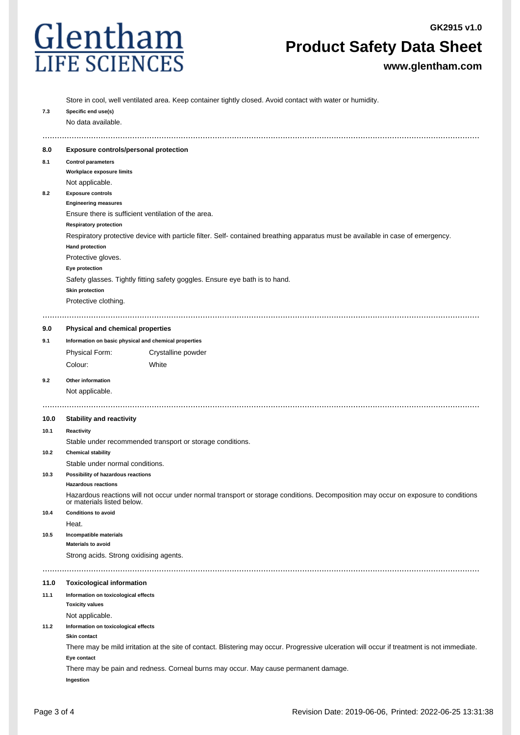

## **Product Safety Data Sheet**

**www.glentham.com**

|      | Store in cool, well ventilated area. Keep container tightly closed. Avoid contact with water or humidity.                                                        |  |  |  |  |  |
|------|------------------------------------------------------------------------------------------------------------------------------------------------------------------|--|--|--|--|--|
| 7.3  | Specific end use(s)                                                                                                                                              |  |  |  |  |  |
|      | No data available.                                                                                                                                               |  |  |  |  |  |
|      |                                                                                                                                                                  |  |  |  |  |  |
| 8.0  | Exposure controls/personal protection                                                                                                                            |  |  |  |  |  |
| 8.1  | <b>Control parameters</b>                                                                                                                                        |  |  |  |  |  |
|      | Workplace exposure limits                                                                                                                                        |  |  |  |  |  |
|      | Not applicable.                                                                                                                                                  |  |  |  |  |  |
| 8.2  | <b>Exposure controls</b>                                                                                                                                         |  |  |  |  |  |
|      | <b>Engineering measures</b>                                                                                                                                      |  |  |  |  |  |
|      | Ensure there is sufficient ventilation of the area.                                                                                                              |  |  |  |  |  |
|      | <b>Respiratory protection</b>                                                                                                                                    |  |  |  |  |  |
|      | Respiratory protective device with particle filter. Self- contained breathing apparatus must be available in case of emergency.                                  |  |  |  |  |  |
|      | <b>Hand protection</b>                                                                                                                                           |  |  |  |  |  |
|      | Protective gloves.                                                                                                                                               |  |  |  |  |  |
|      | Eye protection                                                                                                                                                   |  |  |  |  |  |
|      | Safety glasses. Tightly fitting safety goggles. Ensure eye bath is to hand.                                                                                      |  |  |  |  |  |
|      | <b>Skin protection</b>                                                                                                                                           |  |  |  |  |  |
|      | Protective clothing.                                                                                                                                             |  |  |  |  |  |
|      |                                                                                                                                                                  |  |  |  |  |  |
| 9.0  | Physical and chemical properties                                                                                                                                 |  |  |  |  |  |
| 9.1  | Information on basic physical and chemical properties                                                                                                            |  |  |  |  |  |
|      | Physical Form:<br>Crystalline powder                                                                                                                             |  |  |  |  |  |
|      | Colour:<br>White                                                                                                                                                 |  |  |  |  |  |
|      |                                                                                                                                                                  |  |  |  |  |  |
| 9.2  | Other information                                                                                                                                                |  |  |  |  |  |
|      | Not applicable.                                                                                                                                                  |  |  |  |  |  |
|      |                                                                                                                                                                  |  |  |  |  |  |
| 10.0 | <b>Stability and reactivity</b>                                                                                                                                  |  |  |  |  |  |
| 10.1 | Reactivity                                                                                                                                                       |  |  |  |  |  |
|      | Stable under recommended transport or storage conditions.                                                                                                        |  |  |  |  |  |
| 10.2 | <b>Chemical stability</b>                                                                                                                                        |  |  |  |  |  |
|      | Stable under normal conditions.                                                                                                                                  |  |  |  |  |  |
| 10.3 | Possibility of hazardous reactions                                                                                                                               |  |  |  |  |  |
|      | <b>Hazardous reactions</b>                                                                                                                                       |  |  |  |  |  |
|      | Hazardous reactions will not occur under normal transport or storage conditions. Decomposition may occur on exposure to conditions<br>or materials listed below. |  |  |  |  |  |
| 10.4 | <b>Conditions to avoid</b>                                                                                                                                       |  |  |  |  |  |
|      | Heat.                                                                                                                                                            |  |  |  |  |  |
| 10.5 | Incompatible materials                                                                                                                                           |  |  |  |  |  |
|      | <b>Materials to avoid</b>                                                                                                                                        |  |  |  |  |  |
|      | Strong acids. Strong oxidising agents.                                                                                                                           |  |  |  |  |  |
|      |                                                                                                                                                                  |  |  |  |  |  |
| 11.0 | <b>Toxicological information</b>                                                                                                                                 |  |  |  |  |  |
| 11.1 | Information on toxicological effects                                                                                                                             |  |  |  |  |  |
|      | <b>Toxicity values</b>                                                                                                                                           |  |  |  |  |  |
|      | Not applicable.                                                                                                                                                  |  |  |  |  |  |
| 11.2 | Information on toxicological effects                                                                                                                             |  |  |  |  |  |
|      | Skin contact                                                                                                                                                     |  |  |  |  |  |
|      | There may be mild irritation at the site of contact. Blistering may occur. Progressive ulceration will occur if treatment is not immediate.                      |  |  |  |  |  |
|      | Eye contact                                                                                                                                                      |  |  |  |  |  |
|      | There may be pain and redness. Corneal burns may occur. May cause permanent damage.                                                                              |  |  |  |  |  |
|      | Ingestion                                                                                                                                                        |  |  |  |  |  |